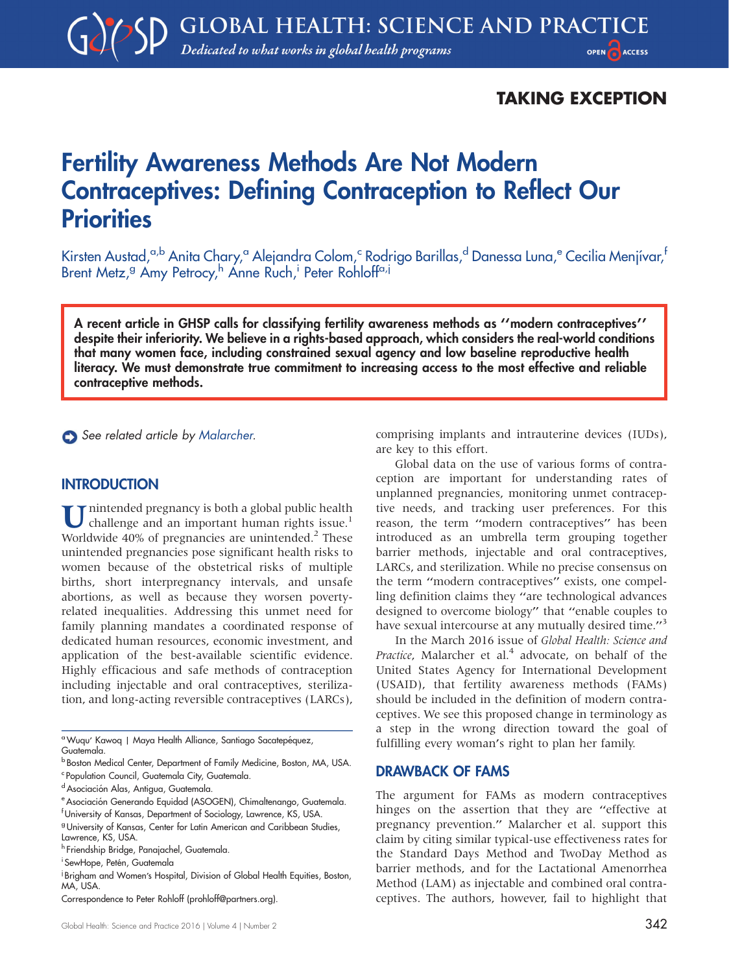## TAKING EXCEPTION

# Fertility Awareness Methods Are Not Modern Contraceptives: Defining Contraception to Reflect Our **Priorities**

Kirsten Austad,<sup>a,b</sup> Anita Chary,<sup>a</sup> Alejandra Colom,<sup>c</sup> Rodrigo Barillas,<sup>d</sup> Danessa Luna,<sup>e</sup> Cecilia Menjívar,<sup>f</sup> Brent Metz,<sup>g</sup> Amy Petrocy,<sup>h</sup> Anne Ruch,<sup>i</sup> Peter Rohloff<sup>a,j</sup>

A recent article in GHSP calls for classifying fertility awareness methods as ''modern contraceptives'' despite their inferiority. We believe in a rights-based approach, which considers the real-world conditions that many women face, including constrained sexual agency and low baseline reproductive health literacy. We must demonstrate true commitment to increasing access to the most effective and reliable contraceptive methods.

See related article by [Malarcher.](Malarcher)

#### **INTRODUCTION**

Unintended pregnancy is both a global public health challenge and an important human rights issue.<sup>1</sup> Worldwide  $40\%$  of pregnancies are unintended.<sup>2</sup> These unintended pregnancies pose significant health risks to women because of the obstetrical risks of multiple births, short interpregnancy intervals, and unsafe abortions, as well as because they worsen povertyrelated inequalities. Addressing this unmet need for family planning mandates a coordinated response of dedicated human resources, economic investment, and application of the best-available scientific evidence. Highly efficacious and safe methods of contraception including injectable and oral contraceptives, sterilization, and long-acting reversible contraceptives (LARCs),

comprising implants and intrauterine devices (IUDs), are key to this effort.

Global data on the use of various forms of contraception are important for understanding rates of unplanned pregnancies, monitoring unmet contraceptive needs, and tracking user preferences. For this reason, the term ''modern contraceptives'' has been introduced as an umbrella term grouping together barrier methods, injectable and oral contraceptives, LARCs, and sterilization. While no precise consensus on the term ''modern contraceptives'' exists, one compelling definition claims they ''are technological advances designed to overcome biology'' that ''enable couples to have sexual intercourse at any mutually desired time."<sup>3</sup>

In the March 2016 issue of Global Health: Science and Practice, Malarcher et al.<sup>4</sup> advocate, on behalf of the United States Agency for International Development (USAID), that fertility awareness methods (FAMs) should be included in the definition of modern contraceptives. We see this proposed change in terminology as a step in the wrong direction toward the goal of fulfilling every woman's right to plan her family.

#### DRAWBACK OF FAMS

The argument for FAMs as modern contraceptives hinges on the assertion that they are "effective at pregnancy prevention.'' Malarcher et al. support this claim by citing similar typical-use effectiveness rates for the Standard Days Method and TwoDay Method as barrier methods, and for the Lactational Amenorrhea Method (LAM) as injectable and combined oral contraceptives. The authors, however, fail to highlight that

<sup>&</sup>lt;sup>a</sup> Wuqu' Kawoq | Maya Health Alliance, Santiago Sacatepéquez, Guatemala.

**b Boston Medical Center, Department of Family Medicine, Boston, MA, USA.** <sup>c</sup> Population Council, Guatemala City, Guatemala.

<sup>&</sup>lt;sup>d</sup> Asociación Alas, Antigua, Guatemala.

e Asociación Generando Equidad (ASOGEN), Chimaltenango, Guatemala.

f University of Kansas, Department of Sociology, Lawrence, KS, USA.

gUniversity of Kansas, Center for Latin American and Caribbean Studies, Lawrence, KS, USA.

<sup>h</sup> Friendship Bridge, Panajachel, Guatemala.

<sup>&</sup>lt;sup>i</sup> SewHope, Petén, Guatemala

<sup>&</sup>lt;sup>i</sup> Brigham and Women's Hospital, Division of Global Health Equities, Boston, MA, USA.

Correspondence to Peter Rohloff ([prohloff@partners.org](mailto:prohloff@partners.org)).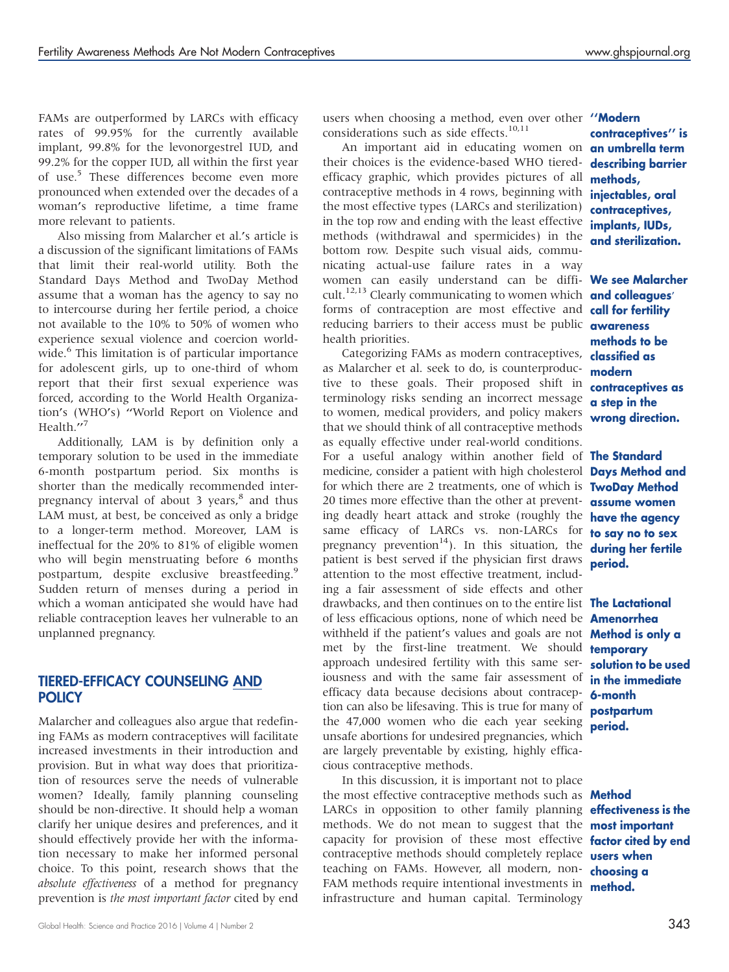FAMs are outperformed by LARCs with efficacy rates of 99.95% for the currently available implant, 99.8% for the levonorgestrel IUD, and 99.2% for the copper IUD, all within the first year of use.<sup>5</sup> These differences become even more pronounced when extended over the decades of a woman's reproductive lifetime, a time frame more relevant to patients.

Also missing from Malarcher et al.'s article is a discussion of the significant limitations of FAMs that limit their real-world utility. Both the Standard Days Method and TwoDay Method assume that a woman has the agency to say no to intercourse during her fertile period, a choice not available to the 10% to 50% of women who experience sexual violence and coercion worldwide.<sup>6</sup> This limitation is of particular importance for adolescent girls, up to one-third of whom report that their first sexual experience was forced, according to the World Health Organization's (WHO's) ''World Report on Violence and Health."<sup>7</sup>

Additionally, LAM is by definition only a temporary solution to be used in the immediate 6-month postpartum period. Six months is shorter than the medically recommended interpregnancy interval of about 3 years, $^8$  and thus LAM must, at best, be conceived as only a bridge to a longer-term method. Moreover, LAM is ineffectual for the 20% to 81% of eligible women who will begin menstruating before 6 months postpartum, despite exclusive breastfeeding.<sup>9</sup> Sudden return of menses during a period in which a woman anticipated she would have had reliable contraception leaves her vulnerable to an unplanned pregnancy.

## TIERED-EFFICACY COUNSELING AND **POLICY**

Malarcher and colleagues also argue that redefining FAMs as modern contraceptives will facilitate increased investments in their introduction and provision. But in what way does that prioritization of resources serve the needs of vulnerable women? Ideally, family planning counseling should be non-directive. It should help a woman clarify her unique desires and preferences, and it should effectively provide her with the information necessary to make her informed personal choice. To this point, research shows that the absolute effectiveness of a method for pregnancy prevention is the most important factor cited by end

users when choosing a method, even over other "Modern considerations such as side effects.<sup>10,11</sup>

An important aid in educating women on **anumbrellaterm** their choices is the evidence-based WHO tieredefficacy graphic, which provides pictures of all contraceptive methods in 4 rows, beginning with the most effective types (LARCs and sterilization) in the top row and ending with the least effective methods (withdrawal and spermicides) in the bottom row. Despite such visual aids, communicating actual-use failure rates in a way women can easily understand can be difficult.<sup>12,13</sup> Clearly communicating to women which forms of contraception are most effective and reducing barriers to their access must be public health priorities.

Categorizing FAMs as modern contraceptives, classified as as Malarcher et al. seek to do, is counterproductive to these goals. Their proposed shift in terminology risks sending an incorrect message to women, medical providers, and policy makers that we should think of all contraceptive methods as equally effective under real-world conditions. For a useful analogy within another field of **The Standard** medicine, consider a patient with high cholesterol for which there are 2 treatments, one of which is 20 times more effective than the other at preventing deadly heart attack and stroke (roughly the same efficacy of LARCs vs. non-LARCs for pregnancy prevention<sup>14</sup>). In this situation, the patient is best served if the physician first draws attention to the most effective treatment, including a fair assessment of side effects and other drawbacks, and then continues on to the entire list **The Lactational** of less efficacious options, none of which need be **Amenorrhea** withheld if the patient's values and goals are not met by the first-line treatment. We should approach undesired fertility with this same seriousness and with the same fair assessment of efficacy data because decisions about contraception can also be lifesaving. This is true for many of the 47,000 women who die each year seeking unsafe abortions for undesired pregnancies, which are largely preventable by existing, highly efficacious contraceptive methods.

In this discussion, it is important not to place the most effective contraceptive methods such as **Method** LARCs in opposition to other family planning **effectiveness is the** methods. We do not mean to suggest that the **most important** capacity for provision of these most effective factor cited by end contraceptive methods should completely replace **users when** teaching on FAMs. However, all modern, non- choosing a FAM methods require intentional investments in **method.** infrastructure and human capital. Terminology

contraceptives'' is describing barrier methods, injectables, oral contraceptives, implants, IUDs, and sterilization.

We see Malarcher and colleagues' call for fertility awareness methods to be modern contraceptives as a step in the wrong direction.

Days Method and TwoDay Method assume women have the agency to say no to sex during her fertile period.

Method is only a temporary solution to be used in the immediate 6-month postpartum period.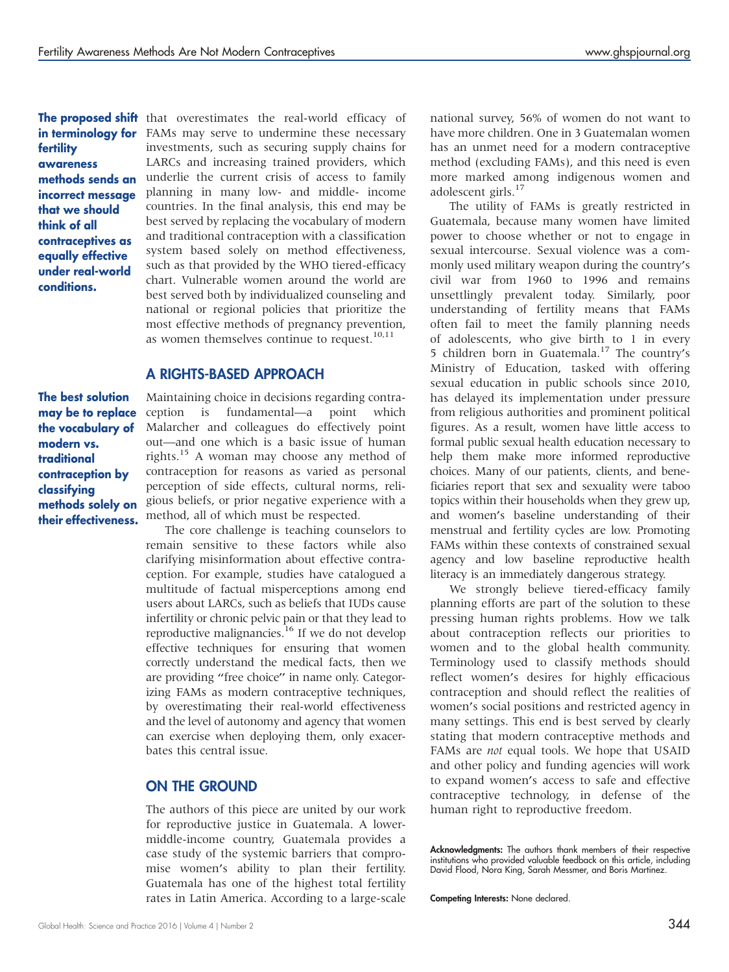fertility awareness methods sends an incorrect message that we should think of all contraceptives as equally effective under real-world conditions.

**The proposed shift** that overestimates the real-world efficacy of in terminology for FAMs may serve to undermine these necessary investments, such as securing supply chains for LARCs and increasing trained providers, which underlie the current crisis of access to family planning in many low- and middle- income countries. In the final analysis, this end may be best served by replacing the vocabulary of modern and traditional contraception with a classification system based solely on method effectiveness, such as that provided by the WHO tiered-efficacy chart. Vulnerable women around the world are best served both by individualized counseling and national or regional policies that prioritize the most effective methods of pregnancy prevention, as women themselves continue to request.<sup>10,11</sup>

#### A RIGHTS-BASED APPROACH

The best solution may be to replace the vocabulary of modern vs. traditional contraception by classifying methods solely on their effectiveness.

Maintaining choice in decisions regarding contraception is fundamental—a point which Malarcher and colleagues do effectively point out—and one which is a basic issue of human rights.<sup>15</sup> A woman may choose any method of contraception for reasons as varied as personal perception of side effects, cultural norms, religious beliefs, or prior negative experience with a method, all of which must be respected.

The core challenge is teaching counselors to remain sensitive to these factors while also clarifying misinformation about effective contraception. For example, studies have catalogued a multitude of factual misperceptions among end users about LARCs, such as beliefs that IUDs cause infertility or chronic pelvic pain or that they lead to reproductive malignancies.<sup>16</sup> If we do not develop effective techniques for ensuring that women correctly understand the medical facts, then we are providing "free choice" in name only. Categorizing FAMs as modern contraceptive techniques, by overestimating their real-world effectiveness and the level of autonomy and agency that women can exercise when deploying them, only exacerbates this central issue.

### ON THE GROUND

The authors of this piece are united by our work for reproductive justice in Guatemala. A lowermiddle-income country, Guatemala provides a case study of the systemic barriers that compromise women's ability to plan their fertility. Guatemala has one of the highest total fertility rates in Latin America. According to a large-scale national survey, 56% of women do not want to have more children. One in 3 Guatemalan women has an unmet need for a modern contraceptive method (excluding FAMs), and this need is even more marked among indigenous women and adolescent girls.<sup>17</sup>

The utility of FAMs is greatly restricted in Guatemala, because many women have limited power to choose whether or not to engage in sexual intercourse. Sexual violence was a commonly used military weapon during the country's civil war from 1960 to 1996 and remains unsettlingly prevalent today. Similarly, poor understanding of fertility means that FAMs often fail to meet the family planning needs of adolescents, who give birth to 1 in every 5 children born in Guatemala.<sup>17</sup> The country's Ministry of Education, tasked with offering sexual education in public schools since 2010, has delayed its implementation under pressure from religious authorities and prominent political figures. As a result, women have little access to formal public sexual health education necessary to help them make more informed reproductive choices. Many of our patients, clients, and beneficiaries report that sex and sexuality were taboo topics within their households when they grew up, and women's baseline understanding of their menstrual and fertility cycles are low. Promoting FAMs within these contexts of constrained sexual agency and low baseline reproductive health literacy is an immediately dangerous strategy.

We strongly believe tiered-efficacy family planning efforts are part of the solution to these pressing human rights problems. How we talk about contraception reflects our priorities to women and to the global health community. Terminology used to classify methods should reflect women's desires for highly efficacious contraception and should reflect the realities of women's social positions and restricted agency in many settings. This end is best served by clearly stating that modern contraceptive methods and FAMs are *not* equal tools. We hope that USAID and other policy and funding agencies will work to expand women's access to safe and effective contraceptive technology, in defense of the human right to reproductive freedom.

Acknowledgments: The authors thank members of their respective institutions who provided valuable feedback on this article, including David Flood, Nora King, Sarah Messmer, and Boris Martinez.

Competing Interests: None declared.